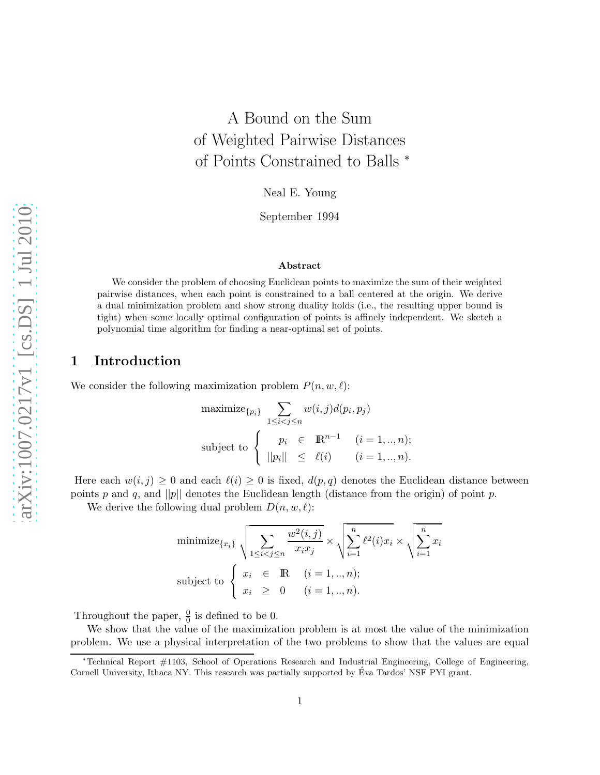# A Bound on the Sum of Weighted Pairwise Distances of Points Constrained to Balls <sup>∗</sup>

Neal E. Young

September 1994

#### Abstract

We consider the problem of choosing Euclidean points to maximize the sum of their weighted pairwise distances, when each point is constrained to a ball centered at the origin. We derive a dual minimization problem and show strong duality holds (i.e., the resulting upper bound is tight) when some locally optimal configuration of points is affinely independent. We sketch a polynomial time algorithm for finding a near-optimal set of points.

### 1 Introduction

We consider the following maximization problem  $P(n, w, \ell)$ :

$$
\begin{aligned}\n\text{maximize}_{\{p_i\}} \quad & \sum_{1 \le i < j \le n} w(i,j) d(p_i, p_j) \\
\text{subject to} \quad & \begin{cases}\n& p_i \in \mathbb{R}^{n-1} \quad (i = 1, \dots, n); \\
& ||p_i|| \le \ell(i) \quad (i = 1, \dots, n).\n\end{cases}\n\end{aligned}
$$

Here each  $w(i, j) \geq 0$  and each  $\ell(i) \geq 0$  is fixed,  $d(p, q)$  denotes the Euclidean distance between points p and q, and ||p|| denotes the Euclidean length (distance from the origin) of point p.

We derive the following dual problem  $D(n, w, \ell)$ :

$$
\text{minimize}_{\{x_i\}} \sqrt{\sum_{1 \le i < j \le n} \frac{w^2(i,j)}{x_i x_j}} \times \sqrt{\sum_{i=1}^n \ell^2(i) x_i} \times \sqrt{\sum_{i=1}^n x_i}
$$
\n
$$
\text{subject to } \begin{cases} x_i \in \mathbb{R} & (i = 1, \dots, n); \\ x_i \ge 0 & (i = 1, \dots, n). \end{cases}
$$

Throughout the paper,  $\frac{0}{0}$  is defined to be 0.

We show that the value of the maximization problem is at most the value of the minimization problem. We use a physical interpretation of the two problems to show that the values are equal

<sup>∗</sup>Technical Report #1103, School of Operations Research and Industrial Engineering, College of Engineering, Cornell University, Ithaca NY. This research was partially supported by Eva Tardos' NSF PYI grant. ´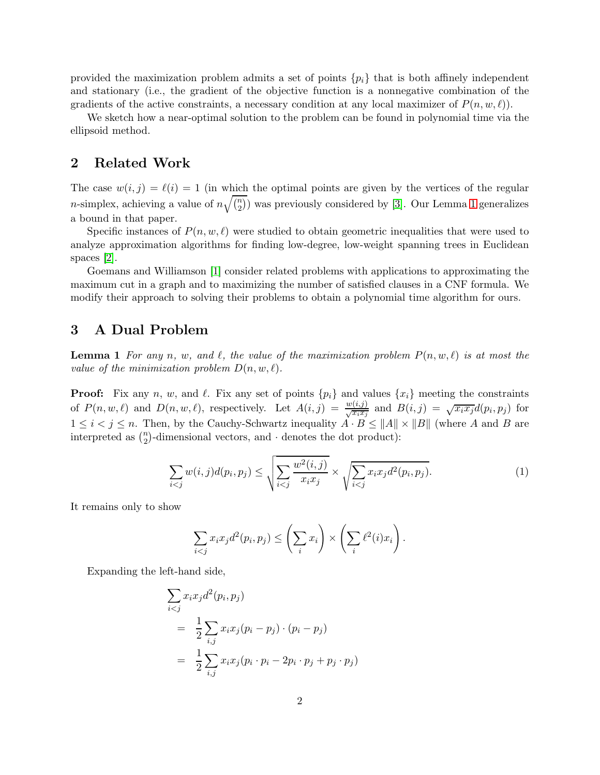provided the maximization problem admits a set of points  $\{p_i\}$  that is both affinely independent and stationary (i.e., the gradient of the objective function is a nonnegative combination of the gradients of the active constraints, a necessary condition at any local maximizer of  $P(n, w, \ell)$ .

We sketch how a near-optimal solution to the problem can be found in polynomial time via the ellipsoid method.

#### 2 Related Work

The case  $w(i, j) = \ell(i) = 1$  (in which the optimal points are given by the vertices of the regular *n*-simplex, achieving a value of  $n\sqrt{\binom{n}{2}}$  was previously considered by [\[3\]](#page-4-0). Our Lemma [1](#page-1-0) generalizes a bound in that paper.

Specific instances of  $P(n, w, \ell)$  were studied to obtain geometric inequalities that were used to analyze approximation algorithms for finding low-degree, low-weight spanning trees in Euclidean spaces [\[2\]](#page-4-1).

Goemans and Williamson [\[1\]](#page-4-2) consider related problems with applications to approximating the maximum cut in a graph and to maximizing the number of satisfied clauses in a CNF formula. We modify their approach to solving their problems to obtain a polynomial time algorithm for ours.

#### <span id="page-1-0"></span>3 A Dual Problem

**Lemma 1** For any n, w, and  $\ell$ , the value of the maximization problem  $P(n, w, \ell)$  is at most the value of the minimization problem  $D(n, w, \ell)$ .

**Proof:** Fix any n, w, and  $\ell$ . Fix any set of points  $\{p_i\}$  and values  $\{x_i\}$  meeting the constraints of  $P(n, w, \ell)$  and  $D(n, w, \ell)$ , respectively. Let  $A(i, j) = \frac{w(i,j)}{\sqrt{x_i x_j}}$  and  $B(i, j) = \sqrt{x_i x_j} d(p_i, p_j)$  for  $1 \leq i < j \leq n$ . Then, by the Cauchy-Schwartz inequality  $A \cdot B \leq ||A|| \times ||B||$  (where A and B are interpreted as  $\binom{n}{2}$ -dimensional vectors, and  $\cdot$  denotes the dot product):

<span id="page-1-2"></span>
$$
\sum_{i < j} w(i, j) d(p_i, p_j) \le \sqrt{\sum_{i < j} \frac{w^2(i, j)}{x_i x_j}} \times \sqrt{\sum_{i < j} x_i x_j d^2(p_i, p_j)}.\tag{1}
$$

It remains only to show

$$
\sum_{i < j} x_i x_j d^2(p_i, p_j) \le \left(\sum_i x_i\right) \times \left(\sum_i \ell^2(i) x_i\right).
$$

Expanding the left-hand side,

<span id="page-1-1"></span>
$$
\sum_{i < j} x_i x_j d^2(p_i, p_j)
$$
\n
$$
= \frac{1}{2} \sum_{i,j} x_i x_j (p_i - p_j) \cdot (p_i - p_j)
$$
\n
$$
= \frac{1}{2} \sum_{i,j} x_i x_j (p_i \cdot p_i - 2p_i \cdot p_j + p_j \cdot p_j)
$$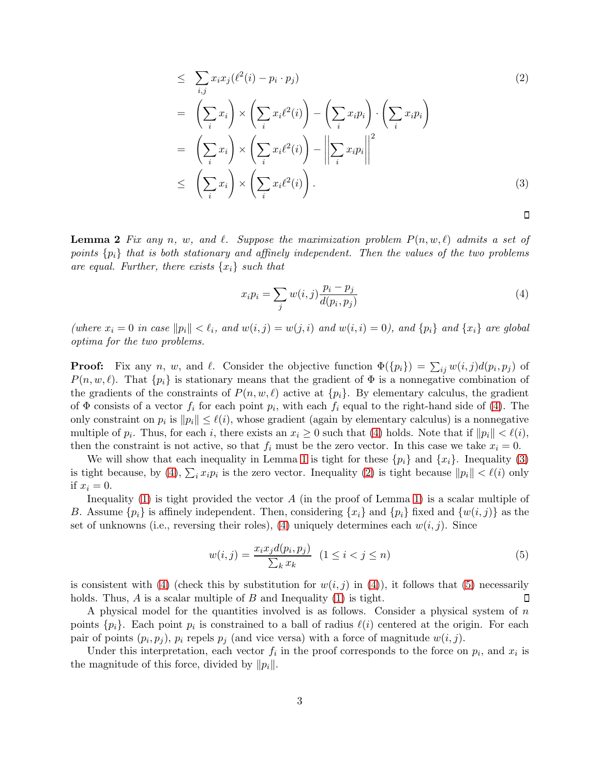$$
\leq \sum_{i,j} x_i x_j (\ell^2(i) - p_i \cdot p_j) \tag{2}
$$
\n
$$
= \left( \sum_i x_i \right) \times \left( \sum_i x_i \ell^2(i) \right) - \left( \sum_i x_i p_i \right) \cdot \left( \sum_i x_i p_i \right)
$$
\n
$$
= \left( \sum_i x_i \right) \times \left( \sum_i x_i \ell^2(i) \right) - \left\| \sum_i x_i p_i \right\|^2
$$
\n
$$
\leq \left( \sum_i x_i \right) \times \left( \sum_i x_i \ell^2(i) \right).
$$
\n(3)

**Lemma 2** Fix any n, w, and  $\ell$ . Suppose the maximization problem  $P(n, w, \ell)$  admits a set of points  $\{p_i\}$  that is both stationary and affinely independent. Then the values of the two problems are equal. Further, there exists  $\{x_i\}$  such that

<span id="page-2-0"></span>
$$
x_i p_i = \sum_j w(i,j) \frac{p_i - p_j}{d(p_i, p_j)}
$$
\n<sup>(4)</sup>

 $\Box$ 

(where  $x_i = 0$  in case  $||p_i|| < l_i$ , and  $w(i, j) = w(j, i)$  and  $w(i, i) = 0$ ), and  $\{p_i\}$  and  $\{x_i\}$  are global optima for the two problems.

**Proof:** Fix any n, w, and  $\ell$ . Consider the objective function  $\Phi({p_i}) = \sum_{ij} w(i, j)d(p_i, p_j)$  of  $P(n, w, \ell)$ . That  $\{p_i\}$  is stationary means that the gradient of  $\Phi$  is a nonnegative combination of the gradients of the constraints of  $P(n, w, \ell)$  active at  $\{p_i\}$ . By elementary calculus, the gradient of  $\Phi$  consists of a vector  $f_i$  for each point  $p_i$ , with each  $f_i$  equal to the right-hand side of [\(4\)](#page-2-0). The only constraint on  $p_i$  is  $||p_i|| \leq \ell(i)$ , whose gradient (again by elementary calculus) is a nonnegative multiple of  $p_i$ . Thus, for each i, there exists an  $x_i \geq 0$  such that [\(4\)](#page-2-0) holds. Note that if  $||p_i|| < \ell(i)$ , then the constraint is not active, so that  $f_i$  must be the zero vector. In this case we take  $x_i = 0$ .

We will show that each inequality in Lemma [1](#page-1-0) is tight for these  $\{p_i\}$  and  $\{x_i\}$ . Inequality [\(3\)](#page-1-1) is tight because, by [\(4\)](#page-2-0),  $\sum_i x_i p_i$  is the zero vector. Inequality [\(2\)](#page-1-1) is tight because  $||p_i|| < \ell(i)$  only if  $x_i = 0$ .

Inequality [\(1\)](#page-1-2) is tight provided the vector  $A$  (in the proof of Lemma [1\)](#page-1-0) is a scalar multiple of B. Assume  $\{p_i\}$  is affinely independent. Then, considering  $\{x_i\}$  and  $\{p_i\}$  fixed and  $\{w(i, j)\}$  as the set of unknowns (i.e., reversing their roles), [\(4\)](#page-2-0) uniquely determines each  $w(i, j)$ . Since

<span id="page-2-1"></span>
$$
w(i,j) = \frac{x_i x_j d(p_i, p_j)}{\sum_k x_k} \quad (1 \le i < j \le n) \tag{5}
$$

is consistent with [\(4\)](#page-2-0) (check this by substitution for  $w(i, j)$  in (4)), it follows that [\(5\)](#page-2-1) necessarily holds. Thus,  $A$  is a scalar multiple of  $B$  and Inequality [\(1\)](#page-1-2) is tight.  $\Box$ 

A physical model for the quantities involved is as follows. Consider a physical system of n points  $\{p_i\}$ . Each point  $p_i$  is constrained to a ball of radius  $\ell(i)$  centered at the origin. For each pair of points  $(p_i, p_j)$ ,  $p_i$  repels  $p_j$  (and vice versa) with a force of magnitude  $w(i, j)$ .

Under this interpretation, each vector  $f_i$  in the proof corresponds to the force on  $p_i$ , and  $x_i$  is the magnitude of this force, divided by  $||p_i||$ .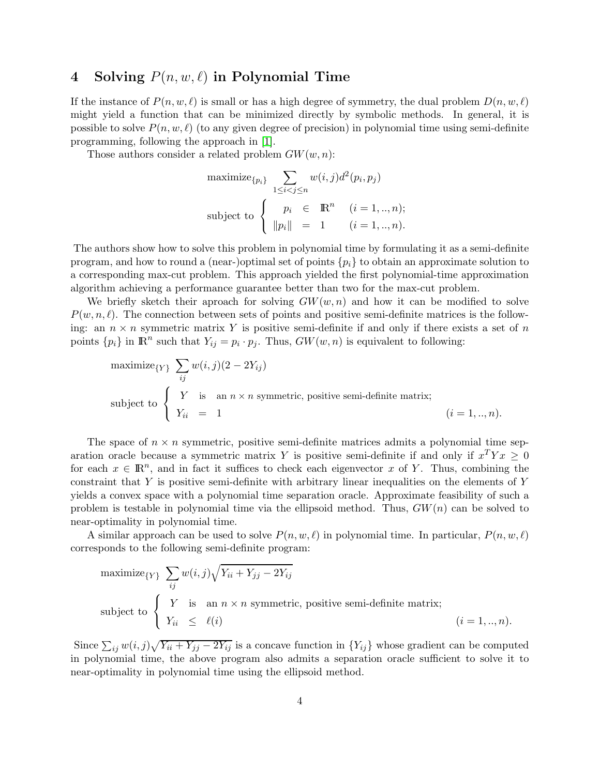## 4 Solving  $P(n, w, \ell)$  in Polynomial Time

If the instance of  $P(n, w, \ell)$  is small or has a high degree of symmetry, the dual problem  $D(n, w, \ell)$ might yield a function that can be minimized directly by symbolic methods. In general, it is possible to solve  $P(n, w, \ell)$  (to any given degree of precision) in polynomial time using semi-definite programming, following the approach in [\[1\]](#page-4-2).

Those authors consider a related problem  $GW(w, n)$ :

$$
\begin{aligned}\n\text{maximize}_{\{p_i\}} \quad & \sum_{1 \le i < j \le n} w(i,j) d^2(p_i, p_j) \\
\text{subject to} \quad \begin{cases}\n& p_i \in \mathbb{R}^n \quad (i = 1, \dots, n); \\
& \|p_i\| = 1 \quad (i = 1, \dots, n).\n\end{cases}\n\end{aligned}
$$

The authors show how to solve this problem in polynomial time by formulating it as a semi-definite program, and how to round a (near-)optimal set of points  $\{p_i\}$  to obtain an approximate solution to a corresponding max-cut problem. This approach yielded the first polynomial-time approximation algorithm achieving a performance guarantee better than two for the max-cut problem.

We briefly sketch their aproach for solving  $GW(w, n)$  and how it can be modified to solve  $P(w, n, \ell)$ . The connection between sets of points and positive semi-definite matrices is the following: an  $n \times n$  symmetric matrix Y is positive semi-definite if and only if there exists a set of n points  $\{p_i\}$  in  $\mathbb{R}^n$  such that  $Y_{ij} = p_i \cdot p_j$ . Thus,  $GW(w, n)$  is equivalent to following:

$$
\begin{aligned}\n\text{maximize}_{\{Y\}} \quad & \sum_{ij} w(i,j)(2 - 2Y_{ij}) \\
\text{subject to} \quad & \begin{cases}\nY & \text{is} \quad \text{an } n \times n \text{ symmetric, positive semi-definite matrix;} \\
Y_{ii} & = 1\n\end{cases}\n\end{aligned}
$$
\n
$$
(i = 1, \dots, n).
$$

The space of  $n \times n$  symmetric, positive semi-definite matrices admits a polynomial time separation oracle because a symmetric matrix Y is positive semi-definite if and only if  $x^T Y x \geq 0$ for each  $x \in \mathbb{R}^n$ , and in fact it suffices to check each eigenvector x of Y. Thus, combining the constraint that Y is positive semi-definite with arbitrary linear inequalities on the elements of Y yields a convex space with a polynomial time separation oracle. Approximate feasibility of such a problem is testable in polynomial time via the ellipsoid method. Thus,  $GW(n)$  can be solved to near-optimality in polynomial time.

A similar approach can be used to solve  $P(n, w, \ell)$  in polynomial time. In particular,  $P(n, w, \ell)$ corresponds to the following semi-definite program:

$$
\begin{aligned}\n\text{maximize}_{\{Y\}} \quad & \sum_{ij} w(i,j) \sqrt{Y_{ii} + Y_{jj} - 2Y_{ij}} \\
\text{subject to} \quad & \begin{cases}\nY & \text{is} \quad \text{an } n \times n \text{ symmetric, positive semi-definite matrix;} \\
Y_{ii} \leq \ell(i)\n\end{cases}\n\end{aligned}
$$
\n
$$
(i = 1, \dots, n).
$$

Since  $\sum_{ij} w(i, j) \sqrt{Y_{ii} + Y_{jj} - 2Y_{ij}}$  is a concave function in  $\{Y_{ij}\}\$  whose gradient can be computed in polynomial time, the above program also admits a separation oracle sufficient to solve it to near-optimality in polynomial time using the ellipsoid method.